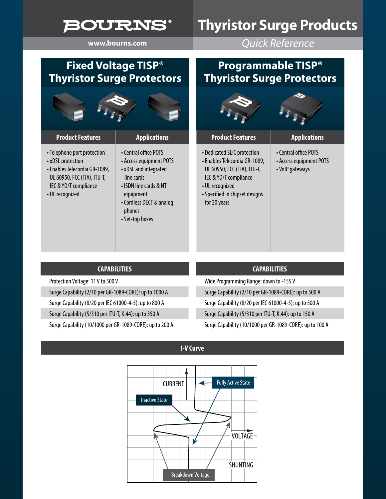## **BOURNS®**

## **Thyristor Surge Products**

**www.bourns.com** *Quick Reference*

### **Fixed Voltage TISP® Thyristor Surge Protectors**

| <b>Product Features</b>                                                                                                                                      | <b>Applications</b>                                                                                                                                                                     |
|--------------------------------------------------------------------------------------------------------------------------------------------------------------|-----------------------------------------------------------------------------------------------------------------------------------------------------------------------------------------|
| • Telephone port protection<br>• xDSL protection<br>• Enables Telecordia GR-1089,<br>UL 60950, FCC (TIA), ITU-T,<br>IEC & YD/T compliance<br>• UL recognized | • Central office POTS<br>• Access equipment POTS<br>• xDSL and integrated<br>line cards<br>• ISDN line cards & NT<br>equipment<br>• Cordless DECT & analog<br>phones<br>• Set-top boxes |

**CAPABILITIES**

Surge Capability (2/10 per GR-1089-CORE): up to 1000 A Surge Capability (8/20 per IEC 61000-4-5): up to 800 A Surge Capability (5/310 per ITU-T, K.44): up to 350 A

Surge Capability (10/1000 per GR-1089-CORE): up to 200 A

Protection Voltage: 11 V to 500 V

#### **Programmable TISP® Thyristor Surge Protectors**

| <b>Product Features</b>                                                                        | <b>Applications</b>                                                 |  |
|------------------------------------------------------------------------------------------------|---------------------------------------------------------------------|--|
| <b>Dedicated SLIC protection</b><br>Enables Telecordia GR-1089,<br>UL 60950, FCC (TIA), ITU-T, | • Central office POTS<br>• Access equipment POTS<br>• VolP gateways |  |

 $\cdot$  De  $\cdot$ Ena

IEC & YD/T compliance

•Specified in chipset designs

• UL recognized

for 20 years

Wide Programming Range: down to -155 V Surge Capability (2/10 per GR-1089-CORE): up to 500 A Surge Capability (8/20 per IEC 61000-4-5): up to 500 A Surge Capability (5/310 per ITU-T, K.44): up to 150 A Surge Capability (10/1000 per GR-1089-CORE): up to 100 A

**CAPABILITIES**

**I-V Curve**